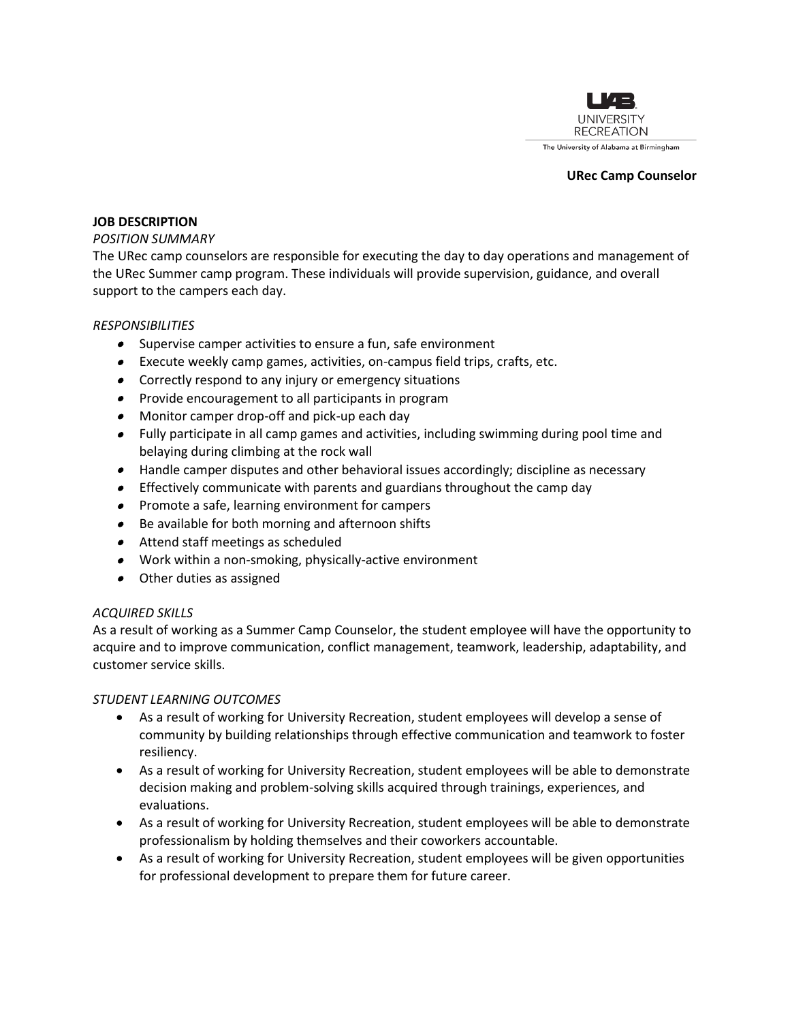

#### **URec Camp Counselor**

#### **JOB DESCRIPTION**

#### *POSITION SUMMARY*

The URec camp counselors are responsible for executing the day to day operations and management of the URec Summer camp program. These individuals will provide supervision, guidance, and overall support to the campers each day.

#### *RESPONSIBILITIES*

- Supervise camper activities to ensure a fun, safe environment
- Execute weekly camp games, activities, on-campus field trips, crafts, etc.
- Correctly respond to any injury or emergency situations
- Provide encouragement to all participants in program
- Monitor camper drop-off and pick-up each day
- Fully participate in all camp games and activities, including swimming during pool time and belaying during climbing at the rock wall
- Handle camper disputes and other behavioral issues accordingly; discipline as necessary
- Effectively communicate with parents and guardians throughout the camp day
- Promote a safe, learning environment for campers
- Be available for both morning and afternoon shifts
- Attend staff meetings as scheduled
- Work within a non-smoking, physically-active environment
- Other duties as assigned

## *ACQUIRED SKILLS*

As a result of working as a Summer Camp Counselor, the student employee will have the opportunity to acquire and to improve communication, conflict management, teamwork, leadership, adaptability, and customer service skills.

## *STUDENT LEARNING OUTCOMES*

- As a result of working for University Recreation, student employees will develop a sense of community by building relationships through effective communication and teamwork to foster resiliency.
- As a result of working for University Recreation, student employees will be able to demonstrate decision making and problem-solving skills acquired through trainings, experiences, and evaluations.
- As a result of working for University Recreation, student employees will be able to demonstrate professionalism by holding themselves and their coworkers accountable.
- As a result of working for University Recreation, student employees will be given opportunities for professional development to prepare them for future career.